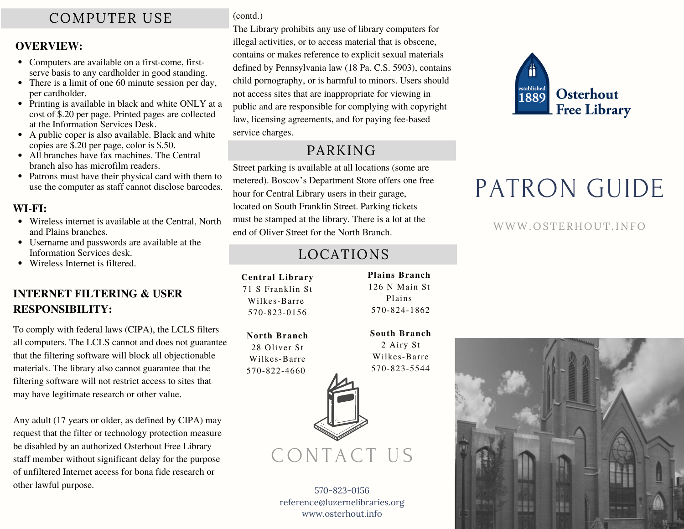# COMPUTER USE

#### **OVERVIEW:**

- Computers are available on a first-come, firstserve basis to any cardholder in good standing.
- There is a limit of one 60 minute session per day, per cardholder.
- Printing is available in black and white ONLY at a cost of \$.20 per page. Printed pages are collected at the Information Services Desk.
- A public coper is also available. Black and white copies are \$.20 per page, color is \$.50.
- All branches have fax machines. The Central branch also has microfilm readers.
- Patrons must have their physical card with them to use the computer as staff cannot disclose barcodes.

#### **WI-FI:**

- Wireless internet is available at the Central, North and Plains branches.
- Username and passwords are available at the Information Services desk.
- Wireless Internet is filtered.

## **INTERNET FILTERING & USER RESPONSIBILITY:**

To comply with federal laws (CIPA), the LCLS filters all computers. The LCLS cannot and does not guarantee that the filtering software will block all objectionable materials. The library also cannot guarantee that the filtering software will not restrict access to sites that may have legitimate research or other value.

Any adult (17 years or older, as defined by CIPA) may request that the filter or technology protection measure be disabled by an authorized Osterhout Free Library staff member without significant delay for the purpose of unfiltered Internet access for bona fide research or other lawful purpose.

(contd.)

The Library prohibits any use of library computers for illegal activities, or to access material that is obscene, contains or makes reference to explicit sexual materials defined by Pennsylvania law (18 Pa. C.S. 5903), contains child pornography, or is harmful to minors. Users should not access sites that are inappropriate for viewing in public and are responsible for complying with copyright law, licensing agreements, and for paying fee-based service charges.

# PARKING

Street parking is available at all locations (some are metered). Boscov's Department Store offers one free hour for Central Library users in their garage, located on South Franklin Street. Parking tickets must be stamped at the library. There is a lot at the end of Oliver Street for the North Branch.

# LOCATIONS

**Plains Branch** 126 N Main St Plains 570-824-1862

**South Branch** 2 Airy St Wilkes-Barre 570-823-5544

**Central Library** 71 S Franklin St Wilkes-Barre 570-823-0156

**North Branch** 28 Oliver St Wilkes-Barre 570-822-4660



CONTACT US

570-823-0156 reference@luzernelibraries.org www.osterhout.info



# PATRON GUIDE

## WWW.OSTERHOUT.INFO